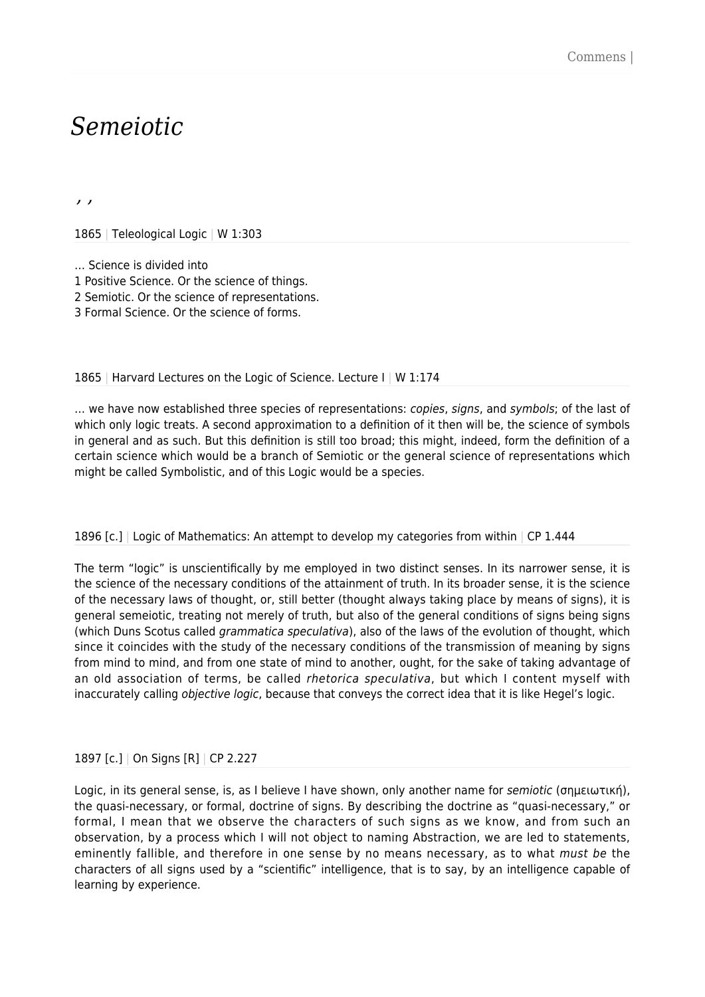# *Semeiotic*

*, ,*

1865 | Teleological Logic | W 1:303

… Science is divided into

1 Positive Science. Or the science of things.

2 Semiotic. Or the science of representations.

3 Formal Science. Or the science of forms.

1865 | Harvard Lectures on the Logic of Science. Lecture I | W 1:174

... we have now established three species of representations: *copies, signs, and symbols*; of the last of which only logic treats. A second approximation to a definition of it then will be, the science of symbols in general and as such. But this definition is still too broad; this might, indeed, form the definition of a certain science which would be a branch of Semiotic or the general science of representations which might be called Symbolistic, and of this Logic would be a species.

# 1896 [c.] Logic of Mathematics: An attempt to develop my categories from within  $\sqrt{CP}$  1.444

The term "logic" is unscientifically by me employed in two distinct senses. In its narrower sense, it is the science of the necessary conditions of the attainment of truth. In its broader sense, it is the science of the necessary laws of thought, or, still better (thought always taking place by means of signs), it is general semeiotic, treating not merely of truth, but also of the general conditions of signs being signs (which Duns Scotus called grammatica speculativa), also of the laws of the evolution of thought, which since it coincides with the study of the necessary conditions of the transmission of meaning by signs from mind to mind, and from one state of mind to another, ought, for the sake of taking advantage of an old association of terms, be called *rhetorica speculativa*, but which I content myself with inaccurately calling *objective logic*, because that conveys the correct idea that it is like Hegel's logic.

# 1897 [c.] | On Signs [R] | CP 2.227

Logic, in its general sense, is, as I believe I have shown, only another name for semiotic (σημειωτική), the quasi-necessary, or formal, doctrine of signs. By describing the doctrine as "quasi-necessary," or formal, I mean that we observe the characters of such signs as we know, and from such an observation, by a process which I will not object to naming Abstraction, we are led to statements, eminently fallible, and therefore in one sense by no means necessary, as to what *must be* the characters of all signs used by a "scientific" intelligence, that is to say, by an intelligence capable of learning by experience.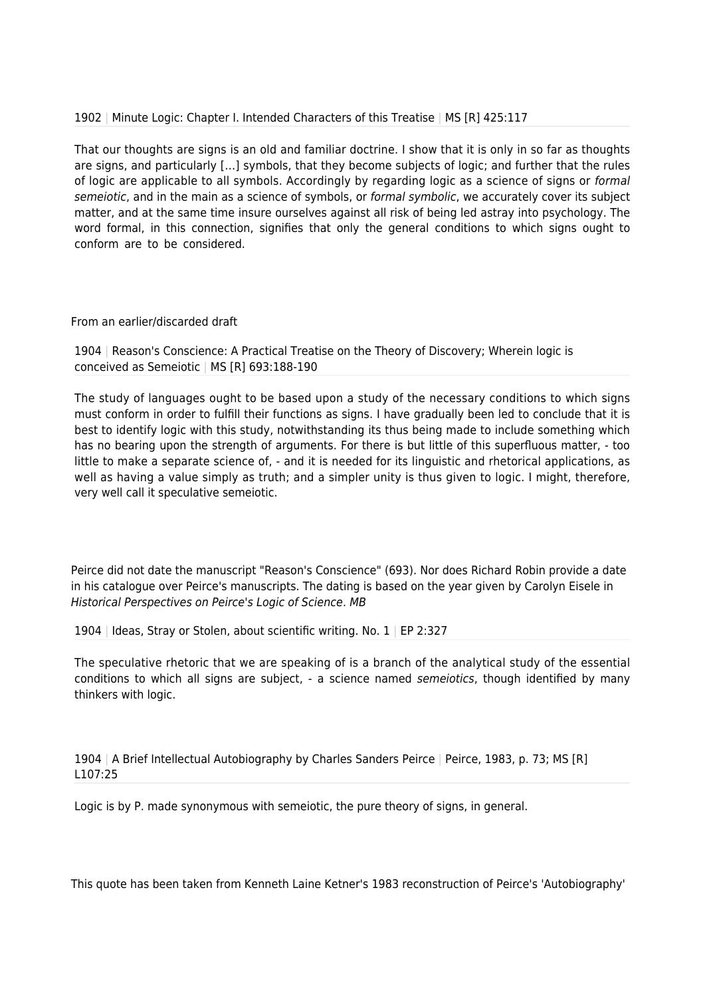# 1902 | Minute Logic: Chapter I. Intended Characters of this Treatise | MS [R] 425:117

That our thoughts are signs is an old and familiar doctrine. I show that it is only in so far as thoughts are signs, and particularly […] symbols, that they become subjects of logic; and further that the rules of logic are applicable to all symbols. Accordingly by regarding logic as a science of signs or formal semeiotic, and in the main as a science of symbols, or formal symbolic, we accurately cover its subject matter, and at the same time insure ourselves against all risk of being led astray into psychology. The word formal, in this connection, signifies that only the general conditions to which signs ought to conform are to be considered.

# From an earlier/discarded draft

1904 | Reason's Conscience: A Practical Treatise on the Theory of Discovery; Wherein logic is conceived as Semeiotic | MS [R] 693:188-190

The study of languages ought to be based upon a study of the necessary conditions to which signs must conform in order to fulfill their functions as signs. I have gradually been led to conclude that it is best to identify logic with this study, notwithstanding its thus being made to include something which has no bearing upon the strength of arguments. For there is but little of this superfluous matter, - too little to make a separate science of, - and it is needed for its linguistic and rhetorical applications, as well as having a value simply as truth; and a simpler unity is thus given to logic. I might, therefore, very well call it speculative semeiotic.

Peirce did not date the manuscript "Reason's Conscience" (693). Nor does Richard Robin provide a date in his catalogue over Peirce's manuscripts. The dating is based on the year given by Carolyn Eisele in Historical Perspectives on Peirce's Logic of Science. MB

1904 | Ideas, Stray or Stolen, about scientific writing. No. 1 | EP 2:327

The speculative rhetoric that we are speaking of is a branch of the analytical study of the essential conditions to which all signs are subject, - a science named semeiotics, though identified by many thinkers with logic.

1904 | A Brief Intellectual Autobiography by Charles Sanders Peirce | Peirce, 1983, p. 73; MS [R] L107:25

Logic is by P. made synonymous with semeiotic, the pure theory of signs, in general.

This quote has been taken from Kenneth Laine Ketner's 1983 reconstruction of Peirce's 'Autobiography'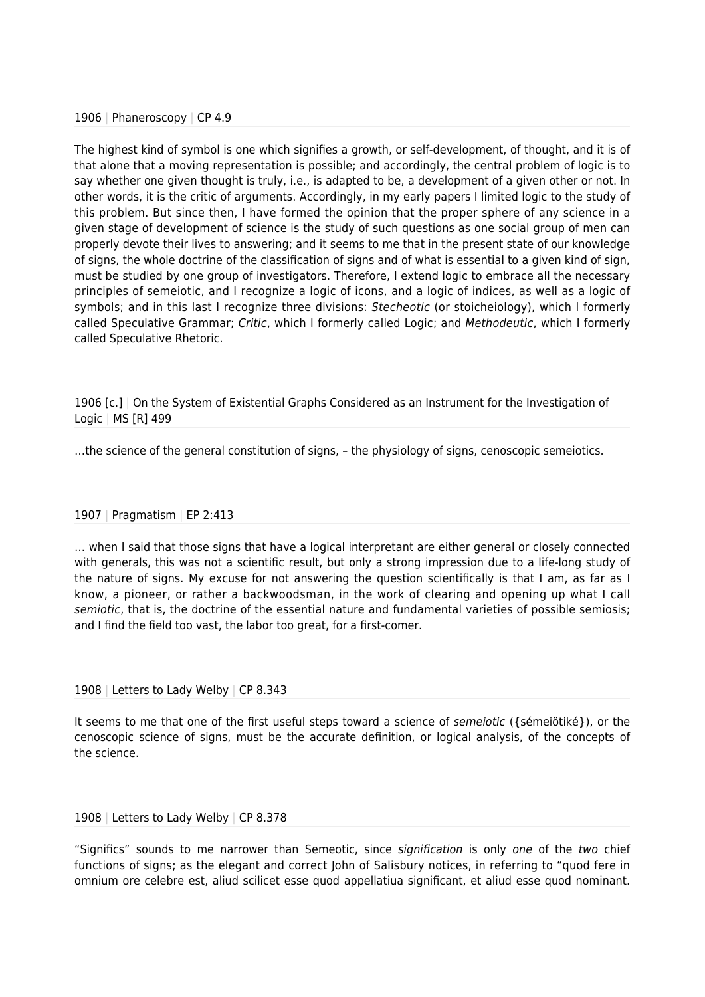# 1906 | Phaneroscopy | CP 4.9

The highest kind of symbol is one which signifies a growth, or self-development, of thought, and it is of that alone that a moving representation is possible; and accordingly, the central problem of logic is to say whether one given thought is truly, i.e., is adapted to be, a development of a given other or not. In other words, it is the critic of arguments. Accordingly, in my early papers I limited logic to the study of this problem. But since then, I have formed the opinion that the proper sphere of any science in a given stage of development of science is the study of such questions as one social group of men can properly devote their lives to answering; and it seems to me that in the present state of our knowledge of signs, the whole doctrine of the classification of signs and of what is essential to a given kind of sign, must be studied by one group of investigators. Therefore, I extend logic to embrace all the necessary principles of semeiotic, and I recognize a logic of icons, and a logic of indices, as well as a logic of symbols; and in this last I recognize three divisions: Stecheotic (or stoicheiology), which I formerly called Speculative Grammar; Critic, which I formerly called Logic; and Methodeutic, which I formerly called Speculative Rhetoric.

1906 [c.] | On the System of Existential Graphs Considered as an Instrument for the Investigation of Logic | MS [R] 499

…the science of the general constitution of signs, – the physiology of signs, cenoscopic semeiotics.

# 1907 | Pragmatism | EP 2:413

… when I said that those signs that have a logical interpretant are either general or closely connected with generals, this was not a scientific result, but only a strong impression due to a life-long study of the nature of signs. My excuse for not answering the question scientifically is that I am, as far as I know, a pioneer, or rather a backwoodsman, in the work of clearing and opening up what I call semiotic, that is, the doctrine of the essential nature and fundamental varieties of possible semiosis; and I find the field too vast, the labor too great, for a first-comer.

# 1908 | Letters to Lady Welby | CP 8.343

It seems to me that one of the first useful steps toward a science of semeiotic ({sémeiötiké}), or the cenoscopic science of signs, must be the accurate definition, or logical analysis, of the concepts of the science.

#### 1908 | Letters to Lady Welby | CP 8.378

"Significs" sounds to me narrower than Semeotic, since signification is only one of the two chief functions of signs; as the elegant and correct John of Salisbury notices, in referring to "quod fere in omnium ore celebre est, aliud scilicet esse quod appellatiua significant, et aliud esse quod nominant.